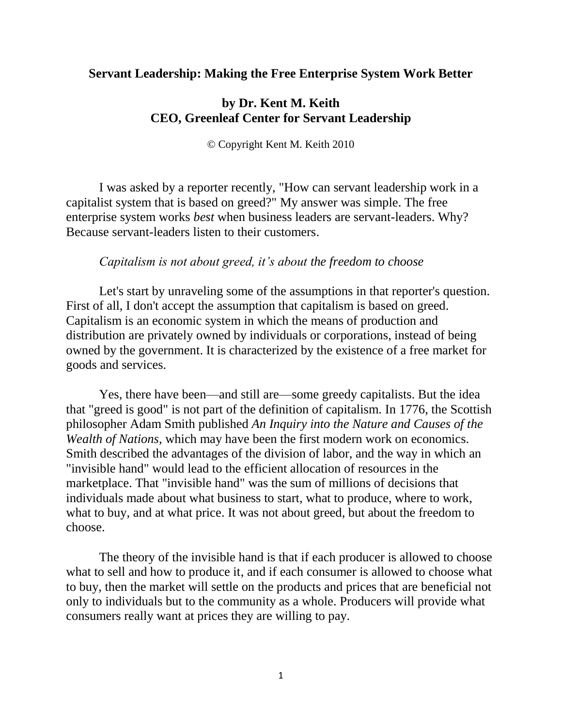# **Servant Leadership: Making the Free Enterprise System Work Better**

# **by Dr. Kent M. Keith CEO, Greenleaf Center for Servant Leadership**

© Copyright Kent M. Keith 2010

I was asked by a reporter recently, "How can servant leadership work in a capitalist system that is based on greed?" My answer was simple. The free enterprise system works *best* when business leaders are servant-leaders. Why? Because servant-leaders listen to their customers.

# *Capitalism is not about greed, it's about the freedom to choose*

Let's start by unraveling some of the assumptions in that reporter's question. First of all, I don't accept the assumption that capitalism is based on greed. Capitalism is an economic system in which the means of production and distribution are privately owned by individuals or corporations, instead of being owned by the government. It is characterized by the existence of a free market for goods and services.

Yes, there have been—and still are—some greedy capitalists. But the idea that "greed is good" is not part of the definition of capitalism. In 1776, the Scottish philosopher Adam Smith published *An Inquiry into the Nature and Causes of the Wealth of Nations*, which may have been the first modern work on economics. Smith described the advantages of the division of labor, and the way in which an "invisible hand" would lead to the efficient allocation of resources in the marketplace. That "invisible hand" was the sum of millions of decisions that individuals made about what business to start, what to produce, where to work, what to buy, and at what price. It was not about greed, but about the freedom to choose.

The theory of the invisible hand is that if each producer is allowed to choose what to sell and how to produce it, and if each consumer is allowed to choose what to buy, then the market will settle on the products and prices that are beneficial not only to individuals but to the community as a whole. Producers will provide what consumers really want at prices they are willing to pay.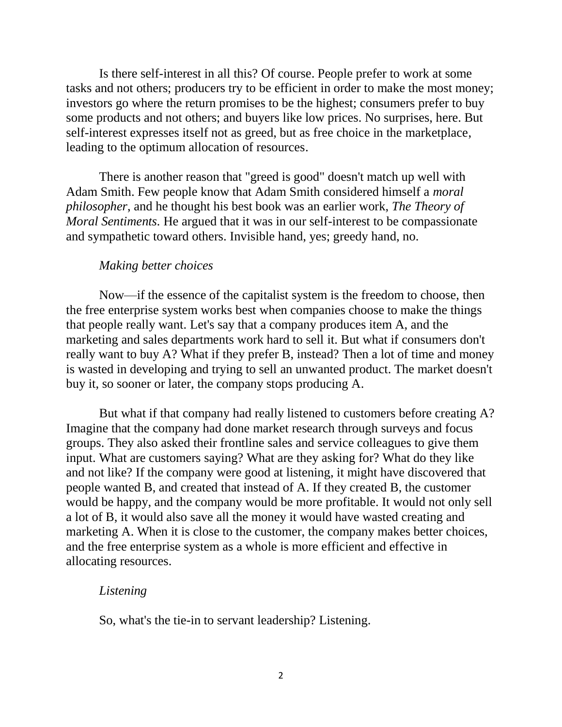Is there self-interest in all this? Of course. People prefer to work at some tasks and not others; producers try to be efficient in order to make the most money; investors go where the return promises to be the highest; consumers prefer to buy some products and not others; and buyers like low prices. No surprises, here. But self-interest expresses itself not as greed, but as free choice in the marketplace, leading to the optimum allocation of resources.

There is another reason that "greed is good" doesn't match up well with Adam Smith. Few people know that Adam Smith considered himself a *moral philosopher*, and he thought his best book was an earlier work, *The Theory of Moral Sentiments.* He argued that it was in our self-interest to be compassionate and sympathetic toward others. Invisible hand, yes; greedy hand, no.

### *Making better choices*

Now—if the essence of the capitalist system is the freedom to choose, then the free enterprise system works best when companies choose to make the things that people really want. Let's say that a company produces item A, and the marketing and sales departments work hard to sell it. But what if consumers don't really want to buy A? What if they prefer B, instead? Then a lot of time and money is wasted in developing and trying to sell an unwanted product. The market doesn't buy it, so sooner or later, the company stops producing A.

But what if that company had really listened to customers before creating A? Imagine that the company had done market research through surveys and focus groups. They also asked their frontline sales and service colleagues to give them input. What are customers saying? What are they asking for? What do they like and not like? If the company were good at listening, it might have discovered that people wanted B, and created that instead of A. If they created B, the customer would be happy, and the company would be more profitable. It would not only sell a lot of B, it would also save all the money it would have wasted creating and marketing A. When it is close to the customer, the company makes better choices, and the free enterprise system as a whole is more efficient and effective in allocating resources.

#### *Listening*

So, what's the tie-in to servant leadership? Listening.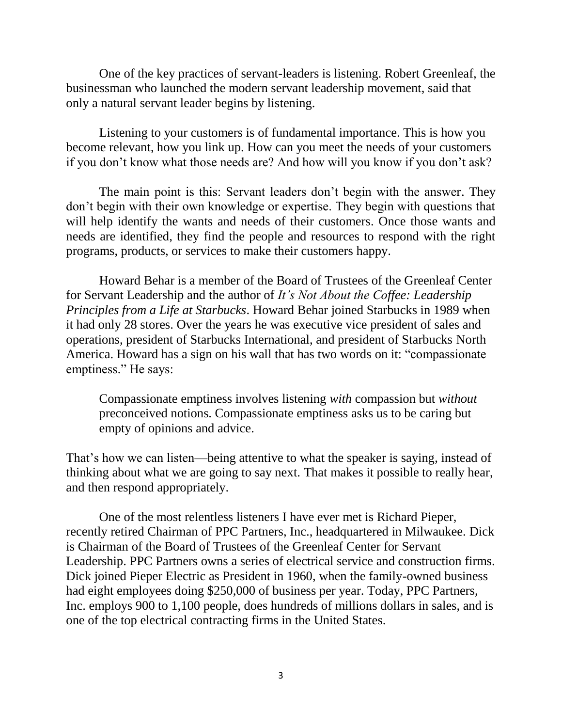One of the key practices of servant-leaders is listening. Robert Greenleaf, the businessman who launched the modern servant leadership movement, said that only a natural servant leader begins by listening.

Listening to your customers is of fundamental importance. This is how you become relevant, how you link up. How can you meet the needs of your customers if you don't know what those needs are? And how will you know if you don't ask?

The main point is this: Servant leaders don't begin with the answer. They don't begin with their own knowledge or expertise. They begin with questions that will help identify the wants and needs of their customers. Once those wants and needs are identified, they find the people and resources to respond with the right programs, products, or services to make their customers happy.

Howard Behar is a member of the Board of Trustees of the Greenleaf Center for Servant Leadership and the author of *It's Not About the Coffee: Leadership Principles from a Life at Starbucks*. Howard Behar joined Starbucks in 1989 when it had only 28 stores. Over the years he was executive vice president of sales and operations, president of Starbucks International, and president of Starbucks North America. Howard has a sign on his wall that has two words on it: "compassionate emptiness." He says:

Compassionate emptiness involves listening *with* compassion but *without* preconceived notions. Compassionate emptiness asks us to be caring but empty of opinions and advice.

That's how we can listen—being attentive to what the speaker is saying, instead of thinking about what we are going to say next. That makes it possible to really hear, and then respond appropriately.

One of the most relentless listeners I have ever met is Richard Pieper, recently retired Chairman of PPC Partners, Inc., headquartered in Milwaukee. Dick is Chairman of the Board of Trustees of the Greenleaf Center for Servant Leadership. PPC Partners owns a series of electrical service and construction firms. Dick joined Pieper Electric as President in 1960, when the family-owned business had eight employees doing \$250,000 of business per year. Today, PPC Partners, Inc. employs 900 to 1,100 people, does hundreds of millions dollars in sales, and is one of the top electrical contracting firms in the United States.